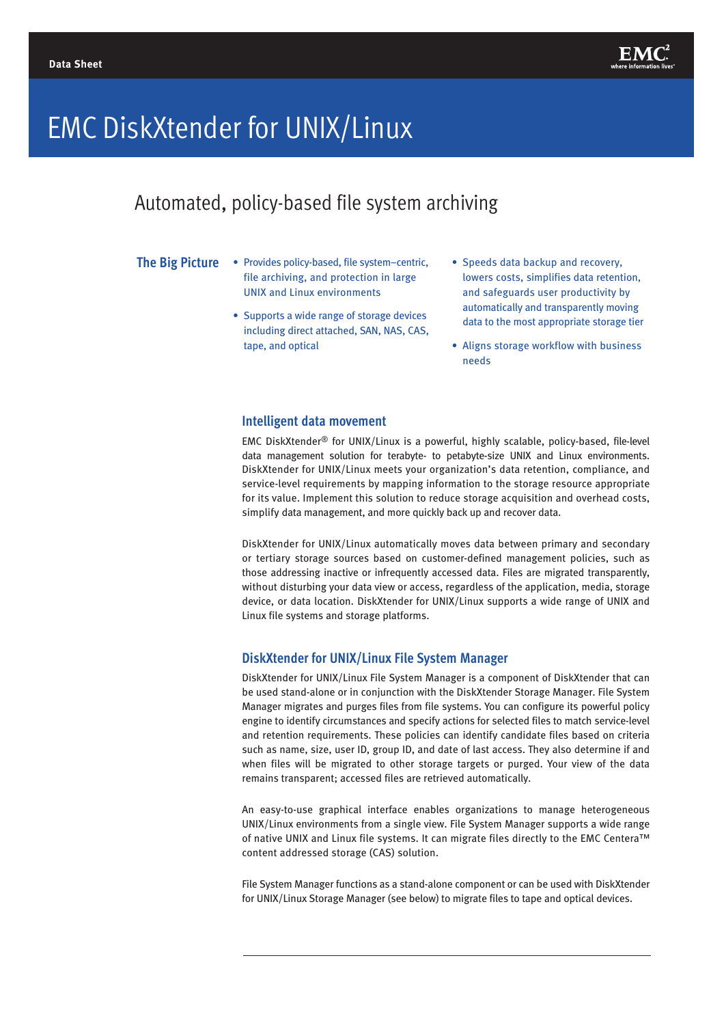

# EMC DiskXtender for UNIX/Linux

# Automated, policy-based file system archiving

#### **The Big Picture**

- Provides policy-based, file system–centric, file archiving, and protection in large UNIX and Linux environments
	- Supports a wide range of storage devices including direct attached, SAN, NAS, CAS, tape, and optical
- Speeds data backup and recovery, lowers costs, simplifies data retention, and safeguards user productivity by automatically and transparently moving data to the most appropriate storage tier
- Aligns storage workflow with business needs

### **Intelligent data movement**

EMC DiskXtender® for UNIX/Linux is a powerful, highly scalable, policy-based, file-level data management solution for terabyte- to petabyte-size UNIX and Linux environments. DiskXtender for UNIX/Linux meets your organization's data retention, compliance, and service-level requirements by mapping information to the storage resource appropriate for its value. Implement this solution to reduce storage acquisition and overhead costs, simplify data management, and more quickly back up and recover data.

DiskXtender for UNIX/Linux automatically moves data between primary and secondary or tertiary storage sources based on customer-defined management policies, such as those addressing inactive or infrequently accessed data. Files are migrated transparently, without disturbing your data view or access, regardless of the application, media, storage device, or data location. DiskXtender for UNIX/Linux supports a wide range of UNIX and Linux file systems and storage platforms.

#### **DiskXtender for UNIX/Linux File System Manager**

DiskXtender for UNIX/Linux File System Manager is a component of DiskXtender that can be used stand-alone or in conjunction with the DiskXtender Storage Manager. File System Manager migrates and purges files from file systems. You can configure its powerful policy engine to identify circumstances and specify actions for selected files to match service-level and retention requirements. These policies can identify candidate files based on criteria such as name, size, user ID, group ID, and date of last access. They also determine if and when files will be migrated to other storage targets or purged. Your view of the data remains transparent; accessed files are retrieved automatically.

An easy-to-use graphical interface enables organizations to manage heterogeneous UNIX/Linux environments from a single view. File System Manager supports a wide range of native UNIX and Linux file systems. It can migrate files directly to the EMC Centera™ content addressed storage (CAS) solution.

File System Manager functions as a stand-alone component or can be used with DiskXtender for UNIX/Linux Storage Manager (see below) to migrate files to tape and optical devices.